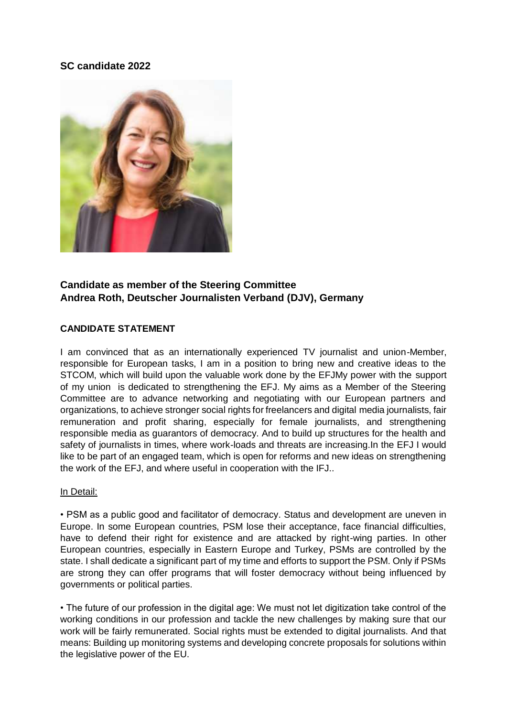### **SC candidate 2022**



## **Candidate as member of the Steering Committee Andrea Roth, Deutscher Journalisten Verband (DJV), Germany**

#### **CANDIDATE STATEMENT**

I am convinced that as an internationally experienced TV journalist and union-Member, responsible for European tasks, I am in a position to bring new and creative ideas to the STCOM, which will build upon the valuable work done by the EFJMy power with the support of my union is dedicated to strengthening the EFJ. My aims as a Member of the Steering Committee are to advance networking and negotiating with our European partners and organizations, to achieve stronger social rights for freelancers and digital media journalists, fair remuneration and profit sharing, especially for female journalists, and strengthening responsible media as guarantors of democracy. And to build up structures for the health and safety of journalists in times, where work-loads and threats are increasing.In the EFJ I would like to be part of an engaged team, which is open for reforms and new ideas on strengthening the work of the EFJ, and where useful in cooperation with the IFJ..

#### In Detail:

• PSM as a public good and facilitator of democracy. Status and development are uneven in Europe. In some European countries, PSM lose their acceptance, face financial difficulties, have to defend their right for existence and are attacked by right-wing parties. In other European countries, especially in Eastern Europe and Turkey, PSMs are controlled by the state. I shall dedicate a significant part of my time and efforts to support the PSM. Only if PSMs are strong they can offer programs that will foster democracy without being influenced by governments or political parties.

• The future of our profession in the digital age: We must not let digitization take control of the working conditions in our profession and tackle the new challenges by making sure that our work will be fairly remunerated. Social rights must be extended to digital journalists. And that means: Building up monitoring systems and developing concrete proposals for solutions within the legislative power of the EU.